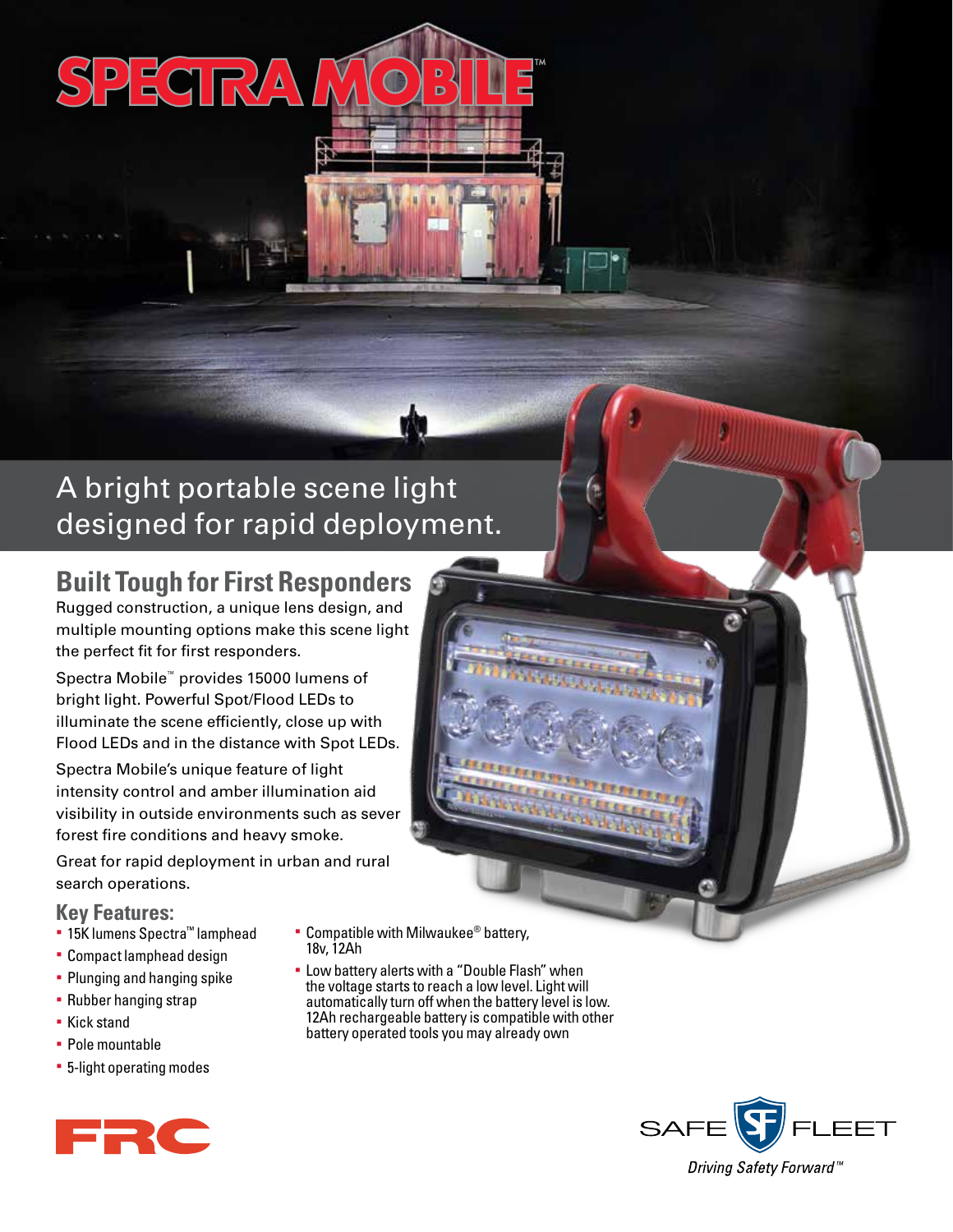# SPECIRA

## A bright portable scene light designed for rapid deployment.

### **Built Tough for First Responders**

Rugged construction, a unique lens design, and multiple mounting options make this scene light the perfect fit for first responders.

Spectra Mobile™ provides 15000 lumens of bright light. Powerful Spot/Flood LEDs to illuminate the scene efficiently, close up with Flood LEDs and in the distance with Spot LEDs.

Spectra Mobile's unique feature of light intensity control and amber illumination aid visibility in outside environments such as sever forest fire conditions and heavy smoke.

Great for rapid deployment in urban and rural search operations.

### **Key Features:**

- § 15K lumens Spectra™ lamphead
- § Compact lamphead design
- § Plunging and hanging spike
- § Rubber hanging strap
- § Kick stand
- § Pole mountable
- § 5-light operating modes



- 18v, 12Ah
- § Low battery alerts with a "Double Flash" when the voltage starts to reach a low level. Light will automatically turn off when the battery level is low. 12Ah rechargeable battery is compatible with other battery operated tools you may already own



ER C